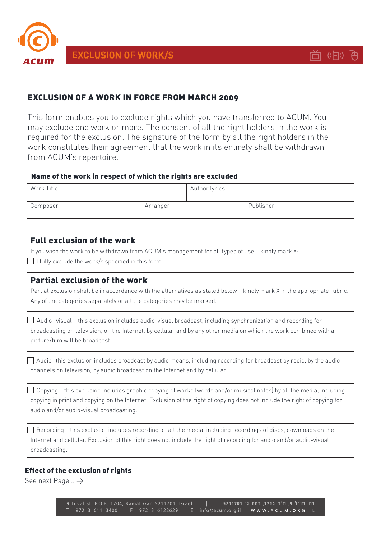

**EXCLUSION OF WORK/S** 



# **EXCLUSION OF A WORK IN FORCE FROM MARCH 2009**

This form enables you to exclude rights which you have transferred to ACUM. You may exclude one work or more. The consent of all the right holders in the work is required for the exclusion. The signature of the form by all the right holders in the work constitutes their agreement that the work in its entirety shall be withdrawn from ACUM's repertoire.

### Name of the work in respect of which the rights are excluded

| Work Title |          | Author lyrics |           |
|------------|----------|---------------|-----------|
| Composer   | Arranger |               | Publisher |

# Full exclusion of the work

If you wish the work to be withdrawn from ACUM's management for all types of use - kindly mark X:

 $\Box$  I fully exclude the work/s specified in this form.

## Partial exclusion of the work

Partial exclusion shall be in accordance with the alternatives as stated below – kindly mark X in the appropriate rubric. Any of the categories separately or all the categories may be marked.

 $\Box$  Audio-visual – this exclusion includes audio-visual broadcast, including synchronization and recording for broadcasting on television, on the Internet, by cellular and by any other media on which the work combined with a bicture/film will be broadcast.

 $\Box$  Audio-this exclusion includes broadcast by audio means, including recording for broadcast by radio, by the audio channels on television, by audio broadcast on the Internet and by cellular.

 $\Box$  Copying – this exclusion includes graphic copying of works (words and/or musical notes) by all the media, including copying in print and copying on the Internet. Exclusion of the right of copying does not include the right of copying for audio and/or audio-visual broadcasting.

 $\Box$  Recording – this exclusion includes recording on all the media, including recordings of discs, downloads on the Internet and cellular. Exclusion of this right does not include the right of recording for audio and/or audio-visual .broadcasting

### Effect of the exclusion of rights

See next Page...  $\rightarrow$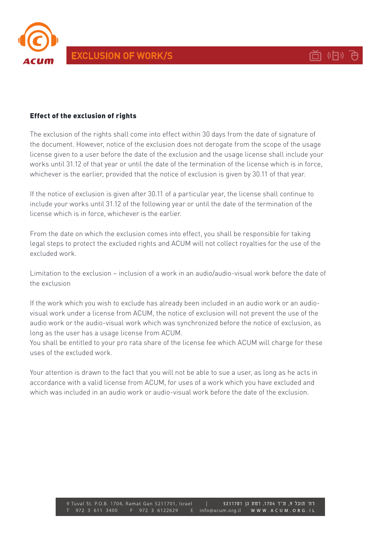



### Effect of the exclusion of rights

The exclusion of the rights shall come into effect within 30 days from the date of signature of the document. However, notice of the exclusion does not derogate from the scope of the usage license given to a user before the date of the exclusion and the usage license shall include your works until 31.12 of that year or until the date of the termination of the license which is in force, whichever is the earlier, provided that the notice of exclusion is given by 30.11 of that year.

If the notice of exclusion is given after 30.11 of a particular year, the license shall continue to include your works until 31.12 of the following year or until the date of the termination of the license which is in force, whichever is the earlier.

From the date on which the exclusion comes into effect, you shall be responsible for taking legal steps to protect the excluded rights and ACUM will not collect royalties for the use of the excluded work

Limitation to the exclusion – inclusion of a work in an audio/audio-visual work before the date of the exclusion

If the work which you wish to exclude has already been included in an audio work or an audio-<br>visual work under a license from ACUM, the notice of exclusion will not prevent the use of the audio work or the audio-visual work which was synchronized before the notice of exclusion, as long as the user has a usage license from ACUM.

You shall be entitled to your pro rata share of the license fee which ACUM will charge for these uses of the excluded work

Your attention is drawn to the fact that you will not be able to sue a user, as long as he acts in accordance with a valid license from ACUM, for uses of a work which you have excluded and which was included in an audio work or audio-visual work before the date of the exclusion.